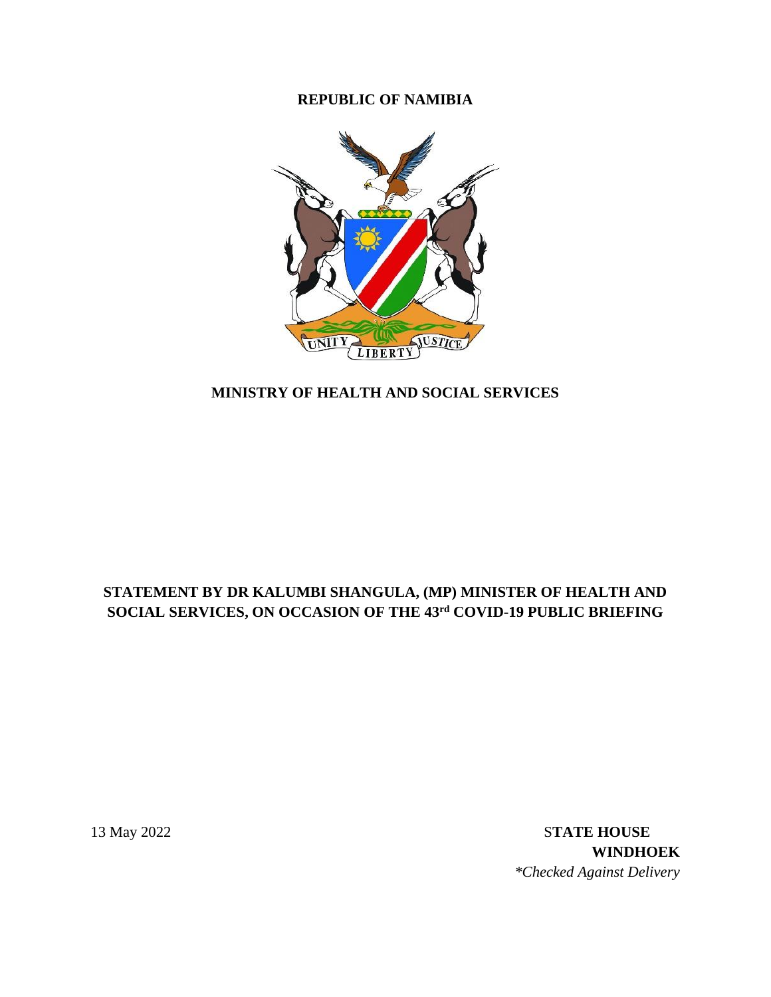# **REPUBLIC OF NAMIBIA**



# **MINISTRY OF HEALTH AND SOCIAL SERVICES**

# **STATEMENT BY DR KALUMBI SHANGULA, (MP) MINISTER OF HEALTH AND SOCIAL SERVICES, ON OCCASION OF THE 43 rd COVID-19 PUBLIC BRIEFING**

13 May 2022 S**TATE HOUSE WINDHOEK** *\*Checked Against Delivery*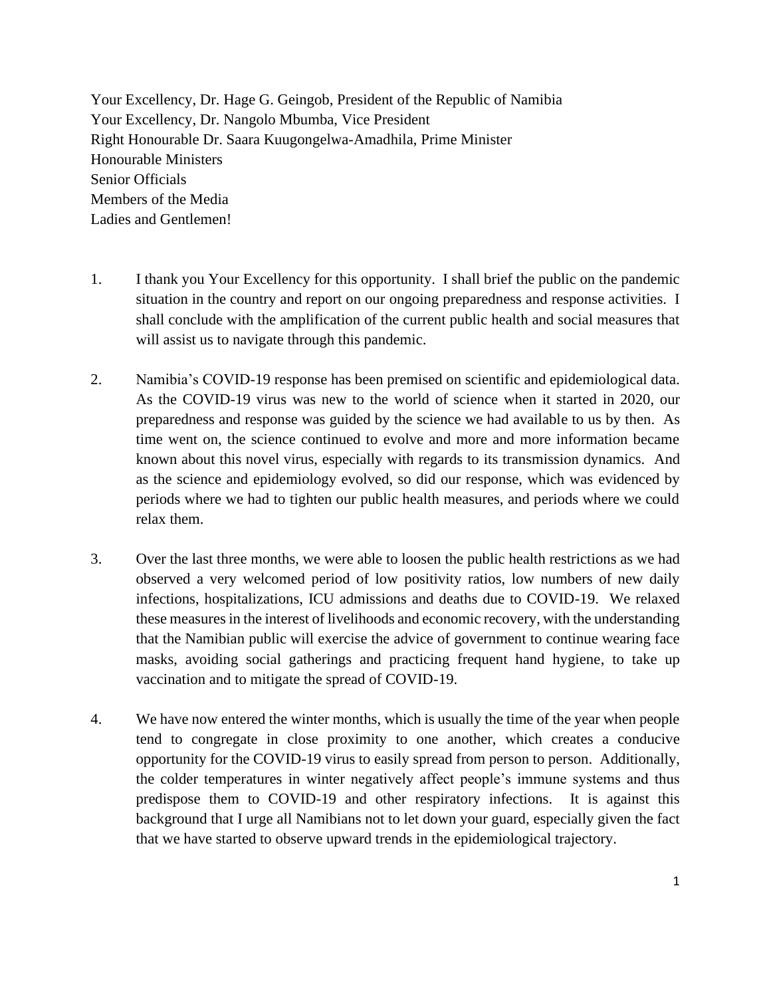Your Excellency, Dr. Hage G. Geingob, President of the Republic of Namibia Your Excellency, Dr. Nangolo Mbumba, Vice President Right Honourable Dr. Saara Kuugongelwa-Amadhila, Prime Minister Honourable Ministers Senior Officials Members of the Media Ladies and Gentlemen!

- 1. I thank you Your Excellency for this opportunity. I shall brief the public on the pandemic situation in the country and report on our ongoing preparedness and response activities. I shall conclude with the amplification of the current public health and social measures that will assist us to navigate through this pandemic.
- 2. Namibia's COVID-19 response has been premised on scientific and epidemiological data. As the COVID-19 virus was new to the world of science when it started in 2020, our preparedness and response was guided by the science we had available to us by then. As time went on, the science continued to evolve and more and more information became known about this novel virus, especially with regards to its transmission dynamics. And as the science and epidemiology evolved, so did our response, which was evidenced by periods where we had to tighten our public health measures, and periods where we could relax them.
- 3. Over the last three months, we were able to loosen the public health restrictions as we had observed a very welcomed period of low positivity ratios, low numbers of new daily infections, hospitalizations, ICU admissions and deaths due to COVID-19. We relaxed these measures in the interest of livelihoods and economic recovery, with the understanding that the Namibian public will exercise the advice of government to continue wearing face masks, avoiding social gatherings and practicing frequent hand hygiene, to take up vaccination and to mitigate the spread of COVID-19.
- 4. We have now entered the winter months, which is usually the time of the year when people tend to congregate in close proximity to one another, which creates a conducive opportunity for the COVID-19 virus to easily spread from person to person. Additionally, the colder temperatures in winter negatively affect people's immune systems and thus predispose them to COVID-19 and other respiratory infections. It is against this background that I urge all Namibians not to let down your guard, especially given the fact that we have started to observe upward trends in the epidemiological trajectory.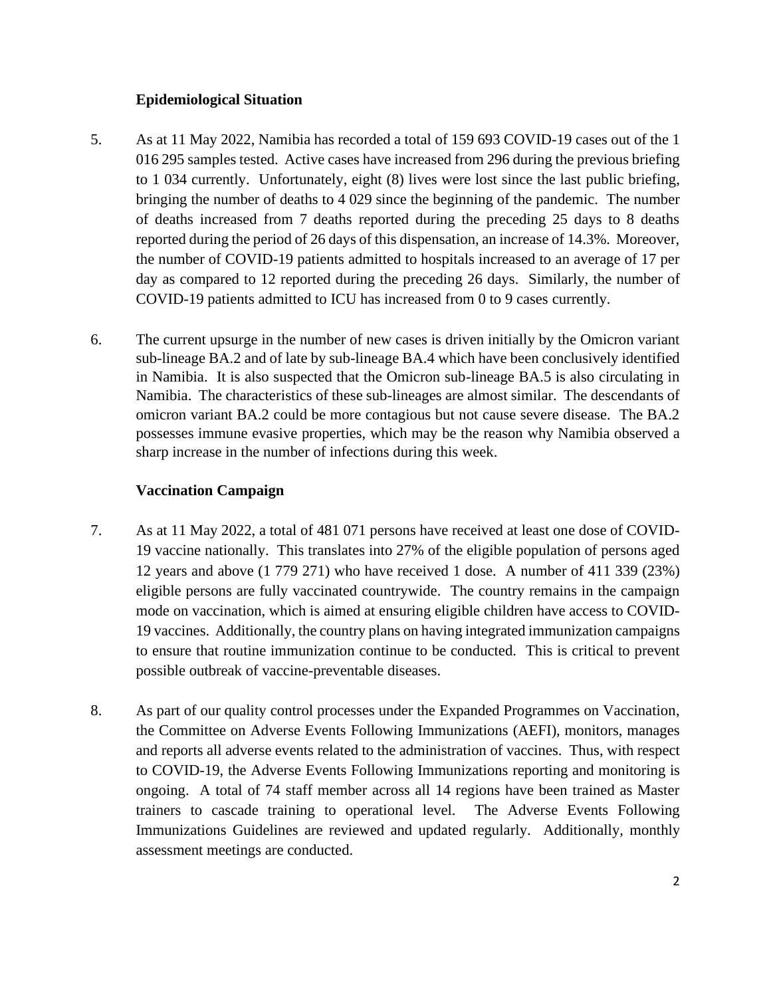#### **Epidemiological Situation**

- 5. As at 11 May 2022, Namibia has recorded a total of 159 693 COVID-19 cases out of the 1 016 295 samples tested. Active cases have increased from 296 during the previous briefing to 1 034 currently. Unfortunately, eight (8) lives were lost since the last public briefing, bringing the number of deaths to 4 029 since the beginning of the pandemic. The number of deaths increased from 7 deaths reported during the preceding 25 days to 8 deaths reported during the period of 26 days of this dispensation, an increase of 14.3%. Moreover, the number of COVID-19 patients admitted to hospitals increased to an average of 17 per day as compared to 12 reported during the preceding 26 days. Similarly, the number of COVID-19 patients admitted to ICU has increased from 0 to 9 cases currently.
- 6. The current upsurge in the number of new cases is driven initially by the Omicron variant sub-lineage BA.2 and of late by sub-lineage BA.4 which have been conclusively identified in Namibia. It is also suspected that the Omicron sub-lineage BA.5 is also circulating in Namibia. The characteristics of these sub-lineages are almost similar. The descendants of omicron variant BA.2 could be more contagious but not cause severe disease. The BA.2 possesses immune evasive properties, which may be the reason why Namibia observed a sharp increase in the number of infections during this week.

### **Vaccination Campaign**

- 7. As at 11 May 2022, a total of 481 071 persons have received at least one dose of COVID-19 vaccine nationally. This translates into 27% of the eligible population of persons aged 12 years and above (1 779 271) who have received 1 dose. A number of 411 339 (23%) eligible persons are fully vaccinated countrywide. The country remains in the campaign mode on vaccination, which is aimed at ensuring eligible children have access to COVID-19 vaccines. Additionally, the country plans on having integrated immunization campaigns to ensure that routine immunization continue to be conducted. This is critical to prevent possible outbreak of vaccine-preventable diseases.
- 8. As part of our quality control processes under the Expanded Programmes on Vaccination, the Committee on Adverse Events Following Immunizations (AEFI), monitors, manages and reports all adverse events related to the administration of vaccines. Thus, with respect to COVID-19, the Adverse Events Following Immunizations reporting and monitoring is ongoing. A total of 74 staff member across all 14 regions have been trained as Master trainers to cascade training to operational level. The Adverse Events Following Immunizations Guidelines are reviewed and updated regularly. Additionally, monthly assessment meetings are conducted.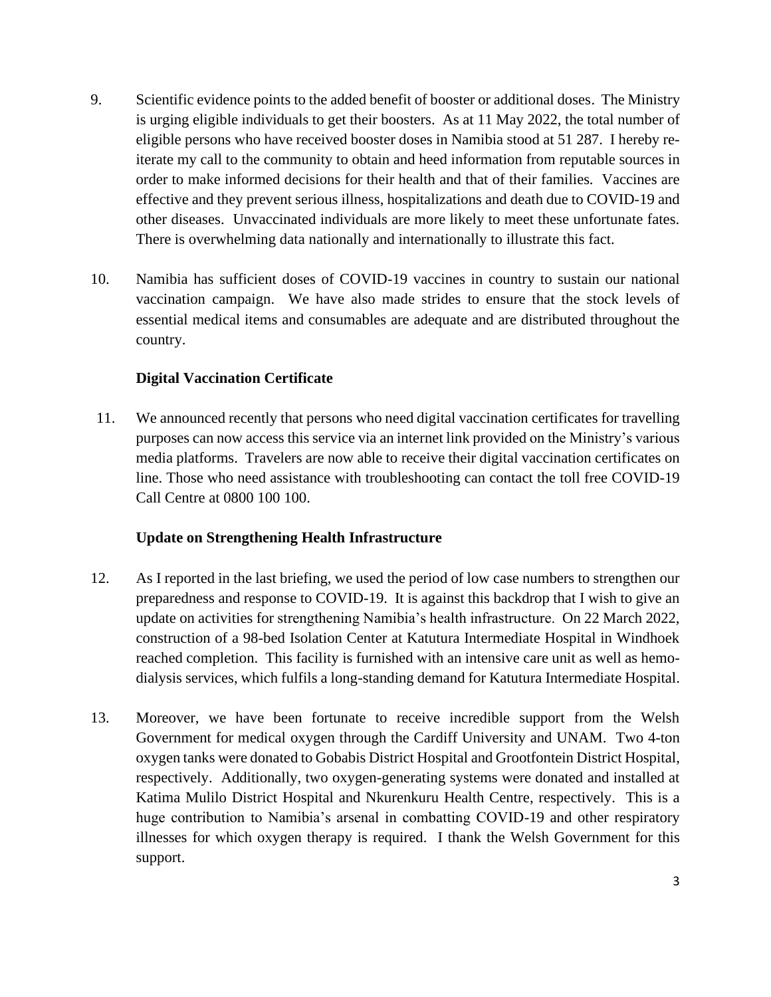- 9. Scientific evidence points to the added benefit of booster or additional doses. The Ministry is urging eligible individuals to get their boosters. As at 11 May 2022, the total number of eligible persons who have received booster doses in Namibia stood at 51 287. I hereby reiterate my call to the community to obtain and heed information from reputable sources in order to make informed decisions for their health and that of their families. Vaccines are effective and they prevent serious illness, hospitalizations and death due to COVID-19 and other diseases. Unvaccinated individuals are more likely to meet these unfortunate fates. There is overwhelming data nationally and internationally to illustrate this fact.
- 10. Namibia has sufficient doses of COVID-19 vaccines in country to sustain our national vaccination campaign. We have also made strides to ensure that the stock levels of essential medical items and consumables are adequate and are distributed throughout the country.

### **Digital Vaccination Certificate**

11. We announced recently that persons who need digital vaccination certificates for travelling purposes can now access this service via an internet link provided on the Ministry's various media platforms. Travelers are now able to receive their digital vaccination certificates on line. Those who need assistance with troubleshooting can contact the toll free COVID-19 Call Centre at 0800 100 100.

# **Update on Strengthening Health Infrastructure**

- 12. As I reported in the last briefing, we used the period of low case numbers to strengthen our preparedness and response to COVID-19. It is against this backdrop that I wish to give an update on activities for strengthening Namibia's health infrastructure. On 22 March 2022, construction of a 98-bed Isolation Center at Katutura Intermediate Hospital in Windhoek reached completion. This facility is furnished with an intensive care unit as well as hemodialysis services, which fulfils a long-standing demand for Katutura Intermediate Hospital.
- 13. Moreover, we have been fortunate to receive incredible support from the Welsh Government for medical oxygen through the Cardiff University and UNAM. Two 4-ton oxygen tanks were donated to Gobabis District Hospital and Grootfontein District Hospital, respectively. Additionally, two oxygen-generating systems were donated and installed at Katima Mulilo District Hospital and Nkurenkuru Health Centre, respectively. This is a huge contribution to Namibia's arsenal in combatting COVID-19 and other respiratory illnesses for which oxygen therapy is required. I thank the Welsh Government for this support.